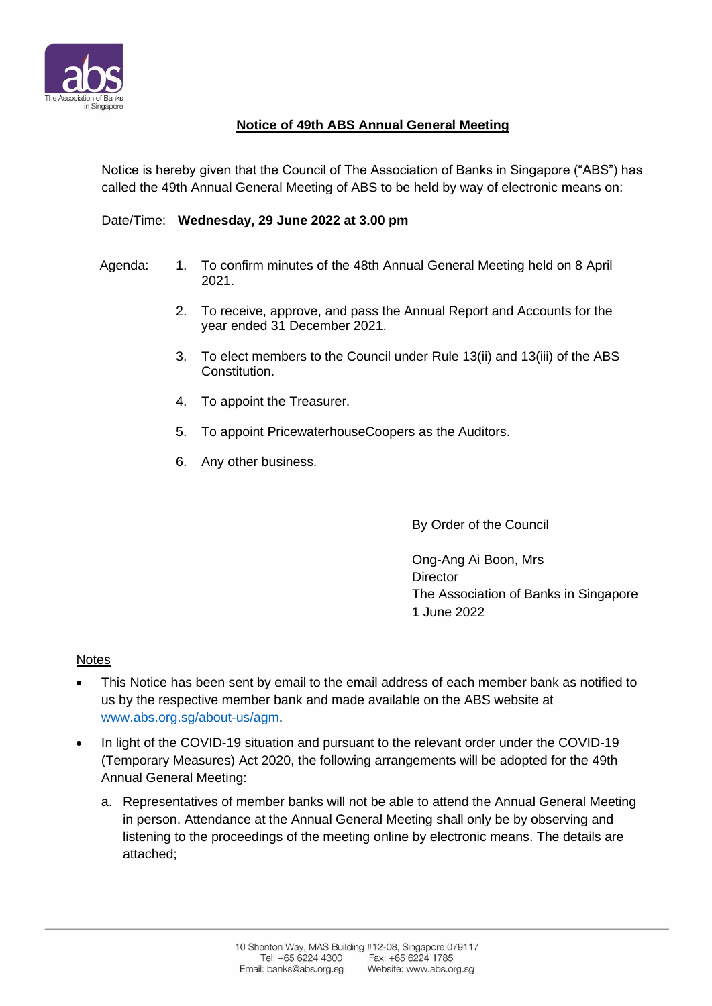

## **Notice of 49th ABS Annual General Meeting**

Notice is hereby given that the Council of The Association of Banks in Singapore ("ABS") has called the 49th Annual General Meeting of ABS to be held by way of electronic means on:

## Date/Time: **Wednesday, 29 June 2022 at 3.00 pm**

- Agenda: 1. To confirm minutes of the 48th Annual General Meeting held on 8 April 2021.
	- 2. To receive, approve, and pass the Annual Report and Accounts for the year ended 31 December 2021.
	- 3. To elect members to the Council under Rule 13(ii) and 13(iii) of the ABS Constitution.
	- 4. To appoint the Treasurer.
	- 5. To appoint PricewaterhouseCoopers as the Auditors.
	- 6. Any other business.

By Order of the Council

Ong-Ang Ai Boon, Mrs **Director** The Association of Banks in Singapore 1 June 2022

## **Notes**

- This Notice has been sent by email to the email address of each member bank as notified to us by the respective member bank and made available on the ABS website at [www.abs.org.sg/about-us/agm.](http://www.abs.org.sg/about-us/agm)
- In light of the COVID-19 situation and pursuant to the relevant order under the COVID-19 (Temporary Measures) Act 2020, the following arrangements will be adopted for the 49th Annual General Meeting:
	- a. Representatives of member banks will not be able to attend the Annual General Meeting in person. Attendance at the Annual General Meeting shall only be by observing and listening to the proceedings of the meeting online by electronic means. The details are attached;